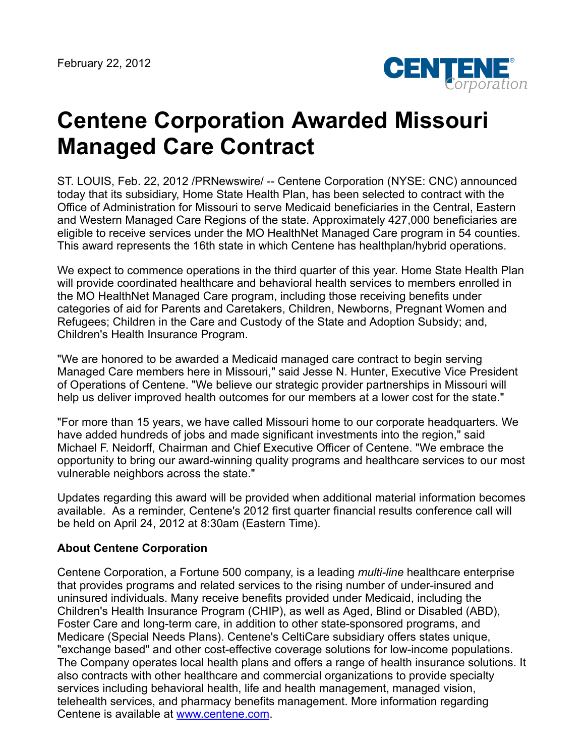

## **Centene Corporation Awarded Missouri Managed Care Contract**

ST. LOUIS, Feb. 22, 2012 /PRNewswire/ -- Centene Corporation (NYSE: CNC) announced today that its subsidiary, Home State Health Plan, has been selected to contract with the Office of Administration for Missouri to serve Medicaid beneficiaries in the Central, Eastern and Western Managed Care Regions of the state. Approximately 427,000 beneficiaries are eligible to receive services under the MO HealthNet Managed Care program in 54 counties. This award represents the 16th state in which Centene has healthplan/hybrid operations.

We expect to commence operations in the third quarter of this year. Home State Health Plan will provide coordinated healthcare and behavioral health services to members enrolled in the MO HealthNet Managed Care program, including those receiving benefits under categories of aid for Parents and Caretakers, Children, Newborns, Pregnant Women and Refugees; Children in the Care and Custody of the State and Adoption Subsidy; and, Children's Health Insurance Program.

"We are honored to be awarded a Medicaid managed care contract to begin serving Managed Care members here in Missouri," said Jesse N. Hunter, Executive Vice President of Operations of Centene. "We believe our strategic provider partnerships in Missouri will help us deliver improved health outcomes for our members at a lower cost for the state."

"For more than 15 years, we have called Missouri home to our corporate headquarters. We have added hundreds of jobs and made significant investments into the region," said Michael F. Neidorff, Chairman and Chief Executive Officer of Centene. "We embrace the opportunity to bring our award-winning quality programs and healthcare services to our most vulnerable neighbors across the state."

Updates regarding this award will be provided when additional material information becomes available. As a reminder, Centene's 2012 first quarter financial results conference call will be held on April 24, 2012 at 8:30am (Eastern Time).

## **About Centene Corporation**

Centene Corporation, a Fortune 500 company, is a leading *multi-line* healthcare enterprise that provides programs and related services to the rising number of under-insured and uninsured individuals. Many receive benefits provided under Medicaid, including the Children's Health Insurance Program (CHIP), as well as Aged, Blind or Disabled (ABD), Foster Care and long-term care, in addition to other state-sponsored programs, and Medicare (Special Needs Plans). Centene's CeltiCare subsidiary offers states unique, "exchange based" and other cost-effective coverage solutions for low-income populations. The Company operates local health plans and offers a range of health insurance solutions. It also contracts with other healthcare and commercial organizations to provide specialty services including behavioral health, life and health management, managed vision, telehealth services, and pharmacy benefits management. More information regarding Centene is available at [www.centene.com](http://www.centene.com/).